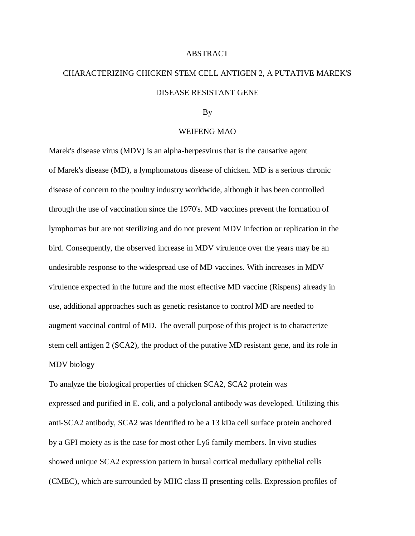## **ABSTRACT**

## CHARACTERIZING CHICKEN STEM CELL ANTIGEN 2, A PUTATIVE MAREK'S DISEASE RESISTANT GENE

## By

## WEIFENG MAO

Marek's disease virus (MDV) is an alpha-herpesvirus that is the causative agent of Marek's disease (MD), a lymphomatous disease of chicken. MD is a serious chronic disease of concern to the poultry industry worldwide, although it has been controlled through the use of vaccination since the 1970's. MD vaccines prevent the formation of lymphomas but are not sterilizing and do not prevent MDV infection or replication in the bird. Consequently, the observed increase in MDV virulence over the years may be an undesirable response to the widespread use of MD vaccines. With increases in MDV virulence expected in the future and the most effective MD vaccine (Rispens) already in use, additional approaches such as genetic resistance to control MD are needed to augment vaccinal control of MD. The overall purpose of this project is to characterize stem cell antigen 2 (SCA2), the product of the putative MD resistant gene, and its role in MDV biology

To analyze the biological properties of chicken SCA2, SCA2 protein was expressed and purified in E. coli, and a polyclonal antibody was developed. Utilizing this anti-SCA2 antibody, SCA2 was identified to be a 13 kDa cell surface protein anchored by a GPI moiety as is the case for most other Ly6 family members. In vivo studies showed unique SCA2 expression pattern in bursal cortical medullary epithelial cells (CMEC), which are surrounded by MHC class II presenting cells. Expression profiles of